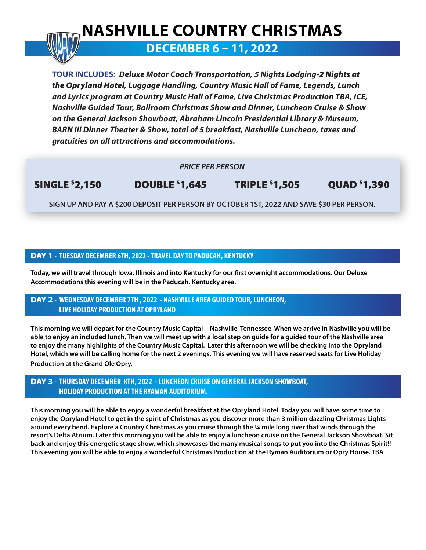# **NASHVILLE COUNTRY CHRISTMAS**

## **DECEMBER 6 – 11, 2022**

**TOUR INCLUDES:** *Deluxe Motor Coach Transportation, 5 Nights Lodging-2 Nights at the Opryland Hotel, Luggage Handling, Country Music Hall of Fame, Legends, Lunch and Lyrics program at Country Music Hall of Fame, Live Christmas Production TBA, ICE, Nashville Guided Tour, Ballroom Christmas Show and Dinner, Luncheon Cruise & Show on the General Jackson Showboat, Abraham Lincoln Presidential Library & Museum, BARN III Dinner Theater & Show, total of 5 breakfast, Nashville Luncheon, taxes and gratuities on all attractions and accommodations.* 

#### *PRICE PER PERSON*

SINGLE \$2,150 DOUBLE \$1,645 TRIPLE \$1,505 QUAD \$1,390

**SIGN UP AND PAY A \$200 DEPOSIT PER PERSON BY OCTOBER 1ST, 2022 AND SAVE \$30 PER PERSON.**

#### DAY 1 **- TUESDAY DECEMBER 6TH, 2022 - TRAVEL DAY TO PADUCAH, KENTUCKY**

**Today, we will travel through Iowa, Illinois and into Kentucky for our first overnight accommodations. Our Deluxe Accommodations this evening will be in the Paducah, Kentucky area.**

#### DAY 2 **- WEDNESDAY DECEMBER 7TH , 2022 - NASHVILLE AREA GUIDED TOUR, LUNCHEON, LIVE HOLIDAY PRODUCTION AT OPRYLAND**

**This morning we will depart for the Country Music Capital—Nashville, Tennessee. When we arrive in Nashville you will be able to enjoy an included lunch. Then we will meet up with a local step on guide for a guided tour of the Nashville area to enjoy the many highlights of the Country Music Capital. Later this afternoon we will be checking into the Opryland Hotel, which we will be calling home for the next 2 evenings. This evening we will have reserved seats for Live Holiday Production at the Grand Ole Opry.**

#### DAY 3 **- THURSDAY DECEMBER 8TH, 2022 - LUNCHEON CRUISE ON GENERAL JACKSON SHOWBOAT, HOLIDAY PRODUCTION AT THE RYAMAN AUDITORIUM.**

**This morning you will be able to enjoy a wonderful breakfast at the Opryland Hotel. Today you will have some time to enjoy the Opryland Hotel to get in the spirit of Christmas as you discover more than 3 million dazzling Christmas Lights around every bend. Explore a Country Christmas as you cruise through the ¼ mile long river that winds through the resort's Delta Atrium. Later this morning you will be able to enjoy a luncheon cruise on the General Jackson Showboat. Sit back and enjoy this energetic stage show, which showcases the many musical songs to put you into the Christmas Spirit!! This evening you will be able to enjoy a wonderful Christmas Production at the Ryman Auditorium or Opry House. TBA**